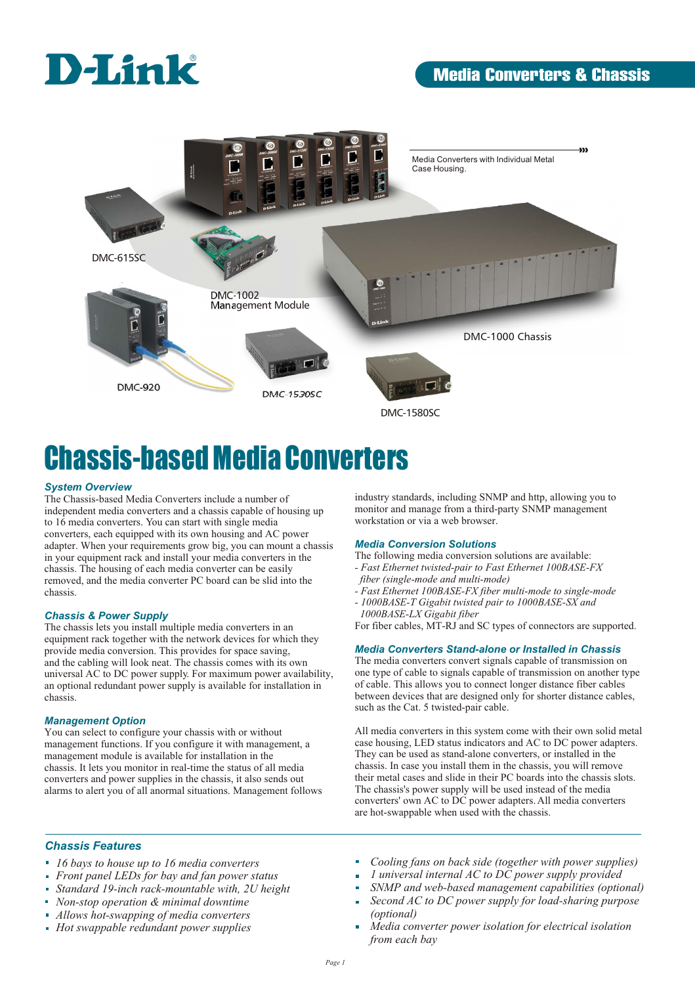

## **Media Converters & Chassis**



# Chassis-based Media Converters

#### *System Overview*

The Chassis-based Media Converters include a number of independent media converters and a chassis capable of housing up to 16 media converters. You can start with single media converters, each equipped with its own housing and AC power adapter. When your requirements grow big, you can mount a chassis in your equipment rack and install your media converters in the chassis. The housing of each media converter can be easily removed, and the media converter PC board can be slid into the chassis.

#### *Chassis & Power Supply*

The chassis lets you install multiple media converters in an equipment rack together with the network devices for which they provide media conversion. This provides for space saving, and the cabling will look neat. The chassis comes with its own universal AC to DC power supply. For maximum power availability, an optional redundant power supply is available for installation in chassis.

#### *Management Option*

You can select to configure your chassis with or without management functions. If you configure it with management, a management module is available for installation in the chassis. It lets you monitor in real-time the status of all media converters and power supplies in the chassis, it also sends out alarms to alert you of all anormal situations. Management follows industry standards, including SNMP and http, allowing you to monitor and manage from a third-party SNMP management workstation or via a web browser.

#### *Media Conversion Solutions*

- The following media conversion solutions are available: *- Fast Ethernet twisted-pair to Fast Ethernet 100BASE-FX*
- *fiber (single-mode and multi-mode)*
- *Fast Ethernet 100BASE-FX fiber multi-mode to single-mode*
- *1000BASE-T Gigabit twisted pair to 1000BASE-SX and 1000BASE-LX Gigabit fiber*

For fiber cables, MT-RJ and SC types of connectors are supported.

#### *Media Converters Stand-alone or Installed in Chassis*

The media converters convert signals capable of transmission on one type of cable to signals capable of transmission on another type of cable. This allows you to connect longer distance fiber cables between devices that are designed only for shorter distance cables, such as the Cat. 5 twisted-pair cable.

All media converters in this system come with their own solid metal case housing, LED status indicators and AC to DC power adapters. They can be used as stand-alone converters, or installed in the chassis. In case you install them in the chassis, you will remove their metal cases and slide in their PC boards into the chassis slots. The chassis's power supply will be used instead of the media converters' own AC to DC power adapters. All media converters are hot-swappable when used with the chassis.

#### *Chassis Features*

- *16 bays to house up to 16 media converters*
- *Front panel LEDs for bay and fan power status*
- *Standard 19-inch rack-mountable with, 2U height*
- *Non-stop operation & minimal downtime*
- *Allows hot-swapping of media converters*
- *Hot swappable redundant power supplies*
- *Cooling fans on back side (together with power supplies)*
- *1 universal internal AC to DC power supply provided*
- *SNMP and web-based management capabilities (optional)*
- *Second AC to DC power supply for load-sharing purpose*  i. *(optional)*
- *Media converter power isolation for electrical isolation from each bay*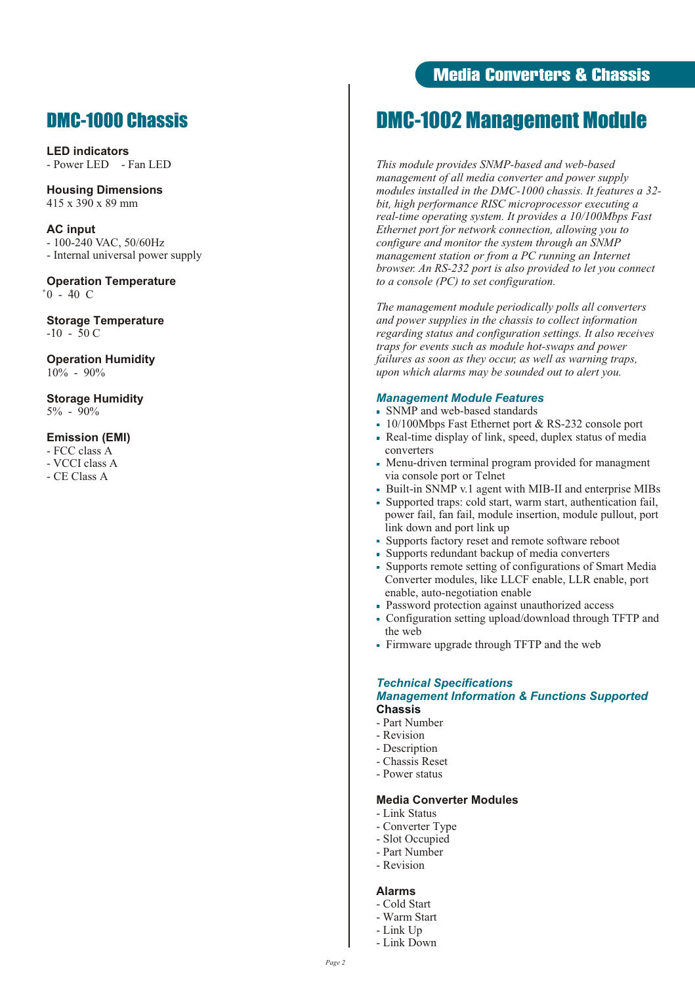## DMC-1000 Chassis

**LED indicators** - Power LED - Fan LED

**Housing Dimensions** 415 x 390 x 89 mm

**AC input** - 100-240 VAC, 50/60Hz - Internal universal power supply

**Operation Temperature**  $^{\circ}0$  - 40 C

**Storage Temperature**  $-10 - 50 C$ 

**Operation Humidity**  $10\% - 90\%$ 

**Storage Humidity** 5% - 90%

#### **Emission (EMI)**

- FCC class A

- VCCI class A
- CE Class A

## **Media Converters & Chassis**

## DMC-1002 Management Module

*This module provides SNMP-based and web-based management of all media converter and power supply modules installed in the DMC-1000 chassis. It features a 32 bit, high performance RISC microprocessor executing a real-time operating system. It provides a 10/100Mbps Fast Ethernet port for network connection, allowing you to configure and monitor the system through an SNMP management station or from a PC running an Internet browser. An RS-232 port is also provided to let you connect to a console (PC) to set configuration.*

*The management module periodically polls all converters and power supplies in the chassis to collect information regarding status and configuration settings. It also receives traps for events such as module hot-swaps and power failures as soon as they occur, as well as warning traps, upon which alarms may be sounded out to alert you.*

#### *Management Module Features*

- SNMP and web-based standards
- 10/100Mbps Fast Ethernet port & RS-232 console port
- Real-time display of link, speed, duplex status of media converters
- Menu-driven terminal program provided for managment via console port or Telnet
- Built-in SNMP v.1 agent with MIB-II and enterprise MIBs
- Supported traps: cold start, warm start, authentication fail, power fail, fan fail, module insertion, module pullout, port link down and port link up
- Supports factory reset and remote software reboot
- Supports redundant backup of media converters
- Supports remote setting of configurations of Smart Media Converter modules, like LLCF enable, LLR enable, port enable, auto-negotiation enable
- Password protection against unauthorized access
- Configuration setting upload/download through TFTP and the web
- Firmware upgrade through TFTP and the web

## *Technical Specifications*

#### *Management Information & Functions Supported* **Chassis**

- Part Number
- Revision
- Description
- Chassis Reset
- Power status

#### **Media Converter Modules**

- Link Status
- Converter Type
- Slot Occupied
- Part Number
- Revision

#### **Alarms**

- Cold Start
- Warm Start
- Link Up
- Link Down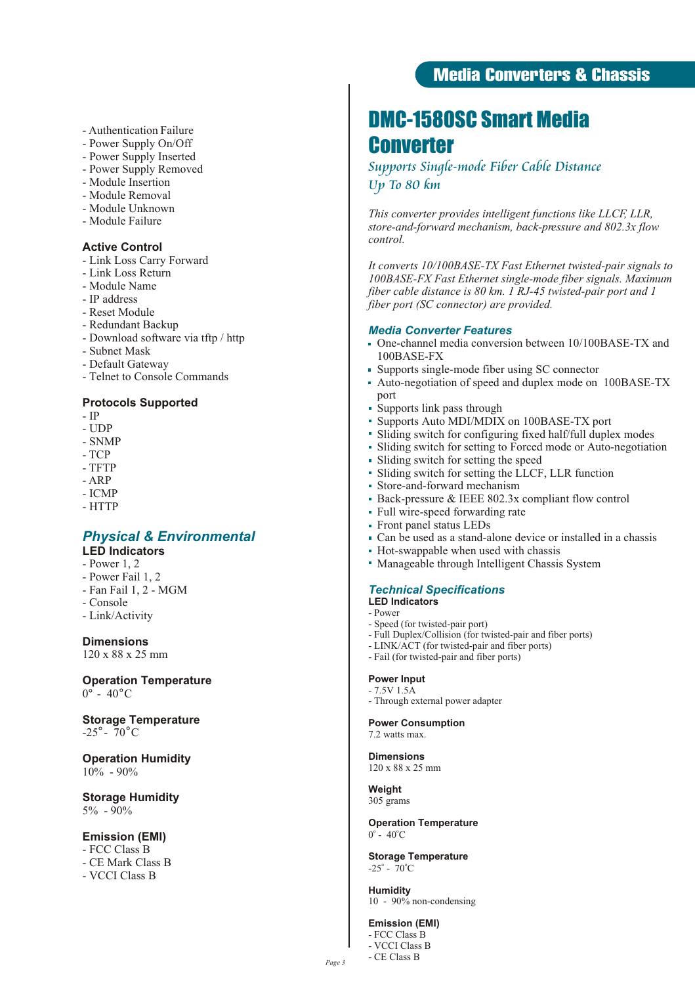#### - Authentication Failure

- Power Supply On/Off
- Power Supply Inserted
- Power Supply Removed
- Module Insertion
- Module Removal
- Module Unknown
- Module Failure

#### **Active Control**

- Link Loss Carry Forward
- Link Loss Return
- Module Name
- IP address
- Reset Module
- Redundant Backup
- Download software via tftp / http
- Subnet Mask
- Default Gateway
- Telnet to Console Commands

#### **Protocols Supported**

- IP
- UDP
- SNMP
- TCP
- TFTP
- ARP
- ICMP
- HTTP

### *Physical & Environmental*

- **LED Indicators**
- Power 1, 2
- Power Fail 1, 2
- Fan Fail 1, 2 MGM
- Console
- Link/Activity

**Dimensions**

120 x 88 x 25 mm

**Operation Temperature**  $0^\circ$  - 40 $^\circ$ C

**Storage Temperature**  $-25^\circ$  - 70<sup>°</sup>C

#### **Operation Humidity** 10% - 90%

**Storage Humidity** 5% - 90%

#### **Emission (EMI)**

- FCC Class B
- CE Mark Class B
- VCCI Class B

## **Media Converters & Chassis**

## DMC-1580SC Smart Media Converter

## *Supports Single-mode Fiber Cable Distance Up To 80 km*

*This converter provides intelligent functions like LLCF, LLR, store-and-forward mechanism, back-pressure and 802.3x flow control.*

*It converts 10/100BASE-TX Fast Ethernet twisted-pair signals to 100BASE-FX Fast Ethernet single-mode fiber signals. Maximum fiber cable distance is 80 km. 1 RJ-45 twisted-pair port and 1 fiber port (SC connector) are provided.*

#### *Media Converter Features*

- One-channel media conversion between 10/100BASE-TX and 100BASE-FX
- Supports single-mode fiber using SC connector
- Auto-negotiation of speed and duplex mode on 100BASE-TX port
- Supports link pass through
- Supports Auto MDI/MDIX on 100BASE-TX port
- Sliding switch for configuring fixed half/full duplex modes
- Sliding switch for setting to Forced mode or Auto-negotiation
- Sliding switch for setting the speed
- Sliding switch for setting the LLCF, LLR function
- Store-and-forward mechanism
- Back-pressure & IEEE 802.3x compliant flow control
- Full wire-speed forwarding rate
- Front panel status LEDs
- Can be used as a stand-alone device or installed in a chassis
- Hot-swappable when used with chassis
- Manageable through Intelligent Chassis System

#### *Technical Specifications*

- **LED Indicators**
- Power
- Speed (for twisted-pair port)
- Full Duplex/Collision (for twisted-pair and fiber ports)
- LINK/ACT (for twisted-pair and fiber ports)
- Fail (for twisted-pair and fiber ports)

#### **Power Input** - 7.5V 1.5A

- Through external power adapter

**Power Consumption**

7.2 watts max.

**Dimensions** 120 x 88 x 25 mm

**Weight**

305 grams

#### **Operation Temperature**  $0^{\circ}$  - 40 $^{\circ}$ C

**Storage Temperature**  $-25^\circ - 70^\circ C$ 

**Humidity** 10 - 90% non-condensing

#### **Emission (EMI)**

- FCC Class B - VCCI Class B - CE Class B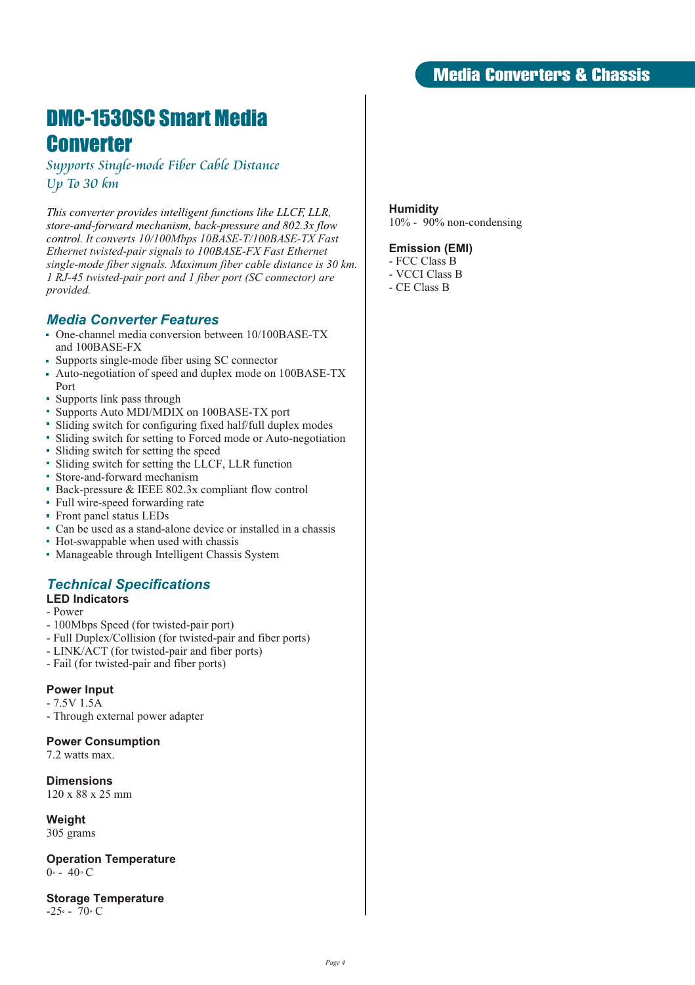## DMC-1530SC Smart Media **Converter**

*Supports Single-mode Fiber Cable Distance Up To 30 km*

*This converter provides intelligent functions like LLCF, LLR, store-and-forward mechanism, back-pressure and 802.3x flow control. It converts 10/100Mbps 10BASE-T/100BASE-TX Fast Ethernet twisted-pair signals to 100BASE-FX Fast Ethernet single-mode fiber signals. Maximum fiber cable distance is 30 km. 1 RJ-45 twisted-pair port and 1 fiber port (SC connector) are provided.*

### *Media Converter Features*

- One-channel media conversion between 10/100BASE-TX and 100BASE-FX
- Supports single-mode fiber using SC connector
- Auto-negotiation of speed and duplex mode on 100BASE-TX Port
- Supports link pass through
- Supports Auto MDI/MDIX on 100BASE-TX port
- Sliding switch for configuring fixed half/full duplex modes
- Sliding switch for setting to Forced mode or Auto-negotiation
- Sliding switch for setting the speed
- Sliding switch for setting the LLCF, LLR function
- Store-and-forward mechanism
- Back-pressure & IEEE 802.3x compliant flow control
- Full wire-speed forwarding rate
- Front panel status LEDs
- Can be used as a stand-alone device or installed in a chassis
- Hot-swappable when used with chassis
- Manageable through Intelligent Chassis System

## *Technical Specifications*

### **LED Indicators**

- Power
- 100Mbps Speed (for twisted-pair port)
- Full Duplex/Collision (for twisted-pair and fiber ports)
- LINK/ACT (for twisted-pair and fiber ports)
- Fail (for twisted-pair and fiber ports)

### **Power Input**

- 7.5V 1.5A
- Through external power adapter

#### **Power Consumption**

7.2 watts max.

## **Dimensions**

120 x 88 x 25 mm

**Weight** 305 grams

#### **Operation Temperature**  $0 \cdot - 40 \cdot C$

**Storage Temperature**  $-25$  - 70  $\circ$  C

### **Humidity**

10% - 90% non-condensing

#### **Emission (EMI)**

- FCC Class B
- VCCI Class B
- CE Class B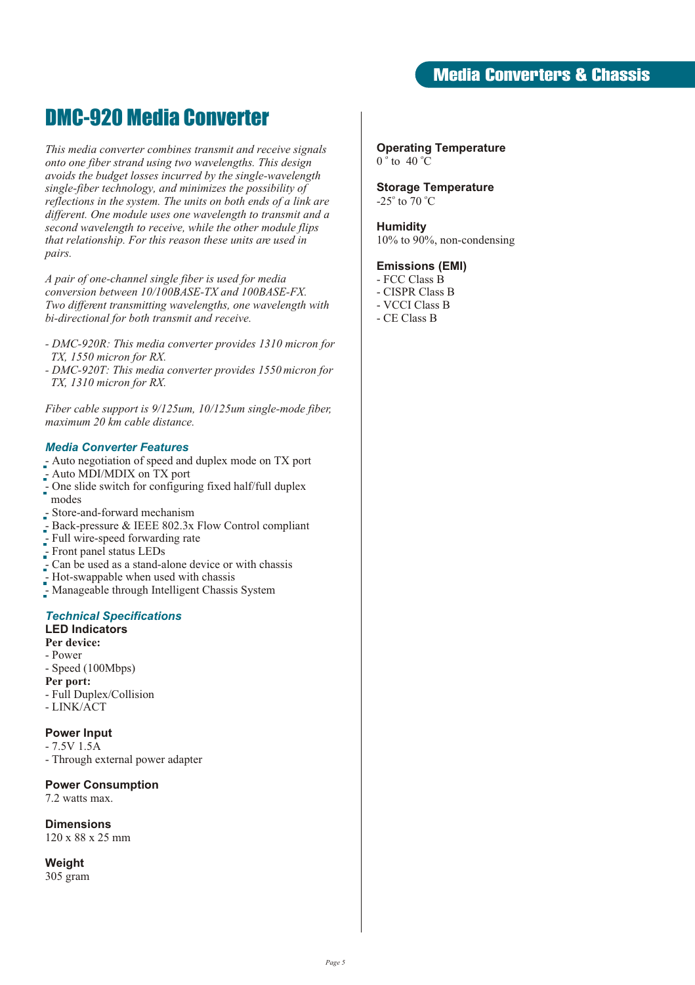## DMC-920 Media Converter

*This media converter combines transmit and receive signals onto one fiber strand using two wavelengths. This design avoids the budget losses incurred by the single-wavelength single-fiber technology, and minimizes the possibility of reflections in the system. The units on both ends of a link are different. One module uses one wavelength to transmit and a second wavelength to receive, while the other module flips that relationship. For this reason these units are used in pairs.* 

*A pair of one-channel single fiber is used for media conversion between 10/100BASE-TX and 100BASE-FX. Two different transmitting wavelengths, one wavelength with bi-directional for both transmit and receive.* 

- *DMC-920R: This media converter provides 1310 micron for TX, 1550 micron for RX.*
- *DMC-920T: This media converter provides 1550 micron for TX, 1310 micron for RX.*

*Fiber cable support is 9/125um, 10/125um single-mode fiber, maximum 20 km cable distance.*

#### *Media Converter Features*

- Auto negotiation of speed and duplex mode on TX port
- Auto MDI/MDIX on TX port
- One slide switch for configuring fixed half/full duplex modes
- Store-and-forward mechanism
- Back-pressure & IEEE 802.3x Flow Control compliant
- Full wire-speed forwarding rate
- Front panel status LEDs
- Can be used as a stand-alone device or with chassis
- Hot-swappable when used with chassis
- Manageable through Intelligent Chassis System

### *Technical Specifications*

## **LED Indicators**

- **Per device:**
- Power - Speed (100Mbps)
- **Per port:**
- Full Duplex/Collision
- LINK/ACT

#### **Power Input**

- 7.5V 1.5A
- Through external power adapter

#### **Power Consumption**

7.2 watts max.

**Dimensions**

120 x 88 x 25 mm

**Weight**

305 gram

**Operating Temperature**  $0^{\circ}$  to 40 °C

**Storage Temperature** -25 $^{\circ}$  to 70  $^{\circ}$ C

#### **Humidity**

10% to 90%, non-condensing

#### **Emissions (EMI)**

- FCC Class B
- CISPR Class B
- VCCI Class B
- CE Class B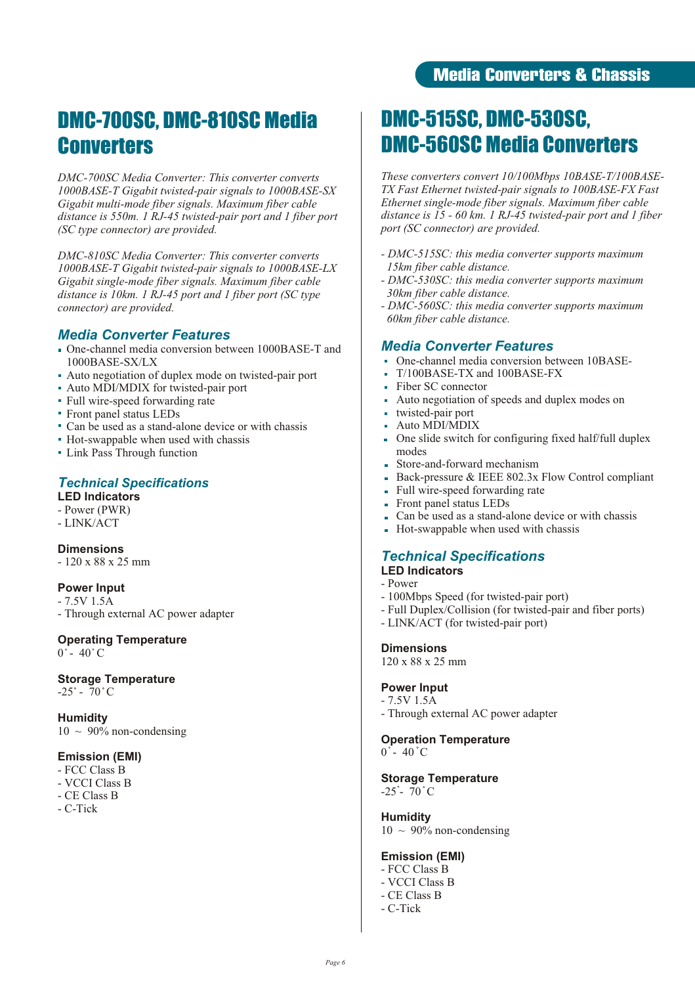## DMC-700SC, DMC-810SC Media **Converters**

*DMC-700SC Media Converter: This converter converts 1000BASE-T Gigabit twisted-pair signals to 1000BASE-SX Gigabit multi-mode fiber signals. Maximum fiber cable distance is 550m. 1 RJ-45 twisted-pair port and 1 fiber port (SC type connector) are provided.*

*DMC-810SC Media Converter: This converter converts 1000BASE-T Gigabit twisted-pair signals to 1000BASE-LX Gigabit single-mode fiber signals. Maximum fiber cable distance is 10km. 1 RJ-45 port and 1 fiber port (SC type connector) are provided.*

### *Media Converter Features*

- One-channel media conversion between 1000BASE-T and 1000BASE-SX/LX
- Auto negotiation of duplex mode on twisted-pair port
- Auto MDI/MDIX for twisted-pair port
- Full wire-speed forwarding rate
- Front panel status LEDs
- Can be used as a stand-alone device or with chassis
- Hot-swappable when used with chassis
- Link Pass Through function

### *Technical Specifications*

**LED Indicators**

- Power (PWR)
- LINK/ACT

**Dimensions**

- 120 x 88 x 25 mm

#### **Power Input**

- 7.5V 1.5A - Through external AC power adapter

## **Operating Temperature**

 $0^\circ$  - 40 $^\circ$ C

#### **Storage Temperature**  $-25^\circ$  - 70  $^{\circ}$  C

**Humidity**  $10 \sim 90\%$  non-condensing

#### **Emission (EMI)**

- FCC Class B
- VCCI Class B
- CE Class B
- C-Tick

## DMC-515SC, DMC-530SC, DMC-560SC Media Converters

*These converters convert 10/100Mbps 10BASE-T/100BASE-TX Fast Ethernet twisted-pair signals to 100BASE-FX Fast Ethernet single-mode fiber signals. Maximum fiber cable distance is 15 - 60 km. 1 RJ-45 twisted-pair port and 1 fiber port (SC connector) are provided.*

- *DMC-515SC: this media converter supports maximum 15km fiber cable distance.*
- *DMC-530SC: this media converter supports maximum 30km fiber cable distance.*
- *DMC-560SC: this media converter supports maximum 60km fiber cable distance.*

### *Media Converter Features*

- One-channel media conversion between 10BASE-
- T/100BASE-TX and 100BASE-FX
- Ĥ. Fiber SC connector
- Auto negotiation of speeds and duplex modes on  $\blacksquare$
- twisted-pair port Ĥ.
- Auto MDI/MDIX
- One slide switch for configuring fixed half/full duplex modes
- Store-and-forward mechanism
- ä. Back-pressure & IEEE 802.3x Flow Control compliant
- Full wire-speed forwarding rate ä.
- Front panel status LEDs
- Can be used as a stand-alone device or with chassis
- Hot-swappable when used with chassis ä.

#### *Technical Specifications* **LED Indicators**

- Power
- 100Mbps Speed (for twisted-pair port)
- Full Duplex/Collision (for twisted-pair and fiber ports)
- LINK/ACT (for twisted-pair port)

#### **Dimensions**

120 x 88 x 25 mm

#### **Power Input**

- 7.5V 1.5A
- Through external AC power adapter

## **Operation Temperature**

 $0^\circ$  - 40  $^\circ$ C

#### **Storage Temperature**  $-25^\circ$  70 °C

**Humidity**  $10 \sim 90\%$  non-condensing

#### **Emission (EMI)**

- FCC Class B
- VCCI Class B
- CE Class B
- C-Tick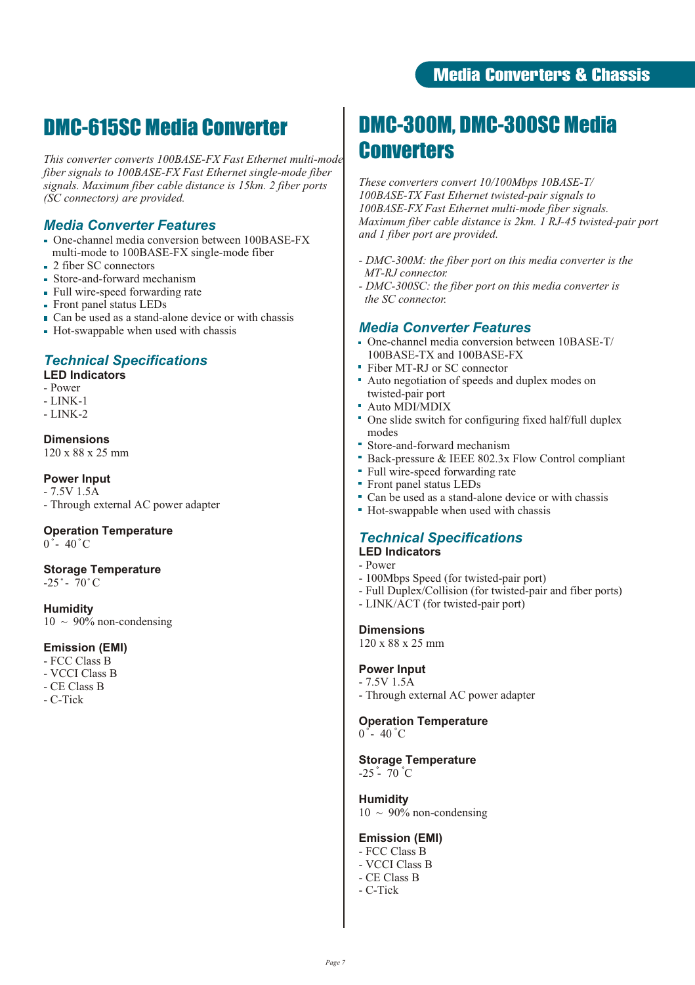## DMC-615SC Media Converter

*This converter converts 100BASE-FX Fast Ethernet multi-mode fiber signals to 100BASE-FX Fast Ethernet single-mode fiber signals. Maximum fiber cable distance is 15km. 2 fiber ports (SC connectors) are provided.*

### *Media Converter Features*

- One-channel media conversion between 100BASE-FX multi-mode to 100BASE-FX single-mode fiber
- 2 fiber SC connectors
- Store-and-forward mechanism
- Full wire-speed forwarding rate
- Front panel status LEDs
- $\blacksquare$  Can be used as a stand-alone device or with chassis
- Hot-swappable when used with chassis

## *Technical Specifications*

### **LED Indicators**

- Power
- LINK-1
- LINK-2

#### **Dimensions**

120 x 88 x 25 mm

#### **Power Input**

- 7.5V 1.5A - Through external AC power adapter

### **Operation Temperature**

 $0^{\degree}$  = 40 $^{\degree}$ C

#### **Storage Temperature**

 $-25^\circ - 70^\circ$ C

**Humidity**  $10 \sim 90\%$  non-condensing

#### **Emission (EMI)**

- FCC Class B
- VCCI Class B
- CE Class B
- C-Tick

## DMC-300M, DMC-300SC Media **Converters**

*These converters convert 10/100Mbps 10BASE-T/ 100BASE-TX Fast Ethernet twisted-pair signals to 100BASE-FX Fast Ethernet multi-mode fiber signals. Maximum fiber cable distance is 2km. 1 RJ-45 twisted-pair port and 1 fiber port are provided.*

- *DMC-300M: the fiber port on this media converter is the MT-RJ connector.*
- *DMC-300SC: the fiber port on this media converter is the SC connector.*

### *Media Converter Features*

- One-channel media conversion between 10BASE-T/ 100BASE-TX and 100BASE-FX
- Fiber MT-RJ or SC connector
- Auto negotiation of speeds and duplex modes on twisted-pair port
- Auto MDI/MDIX
- One slide switch for configuring fixed half/full duplex modes
- Store-and-forward mechanism
- Back-pressure & IEEE 802.3x Flow Control compliant
- Full wire-speed forwarding rate
- Front panel status LEDs
- Can be used as a stand-alone device or with chassis
- Hot-swappable when used with chassis

## *Technical Specifications*

## **LED Indicators**

- Power
- 100Mbps Speed (for twisted-pair port)
- Full Duplex/Collision (for twisted-pair and fiber ports)
- LINK/ACT (for twisted-pair port)

#### **Dimensions**

120 x 88 x 25 mm

#### **Power Input**

- 7.5V 1.5A - Through external AC power adapter

**Operation Temperature**  $0^\circ$ - 40 $^\circ$ C

#### **Storage Temperature**

 $-25 - 70$  °C

#### **Humidity**

 $10 \sim 90\%$  non-condensing

#### **Emission (EMI)**

- FCC Class B
- VCCI Class B
- CE Class B
- C-Tick